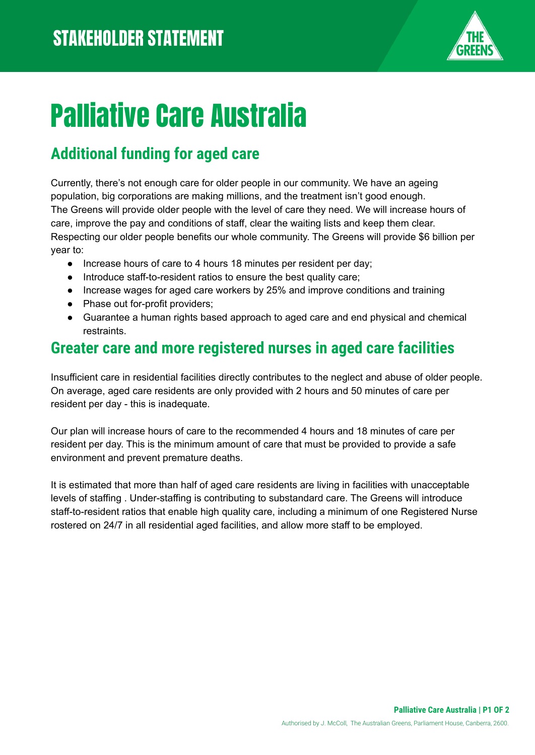

# Palliative Care Australia

## **Additional funding for aged care**

Currently, there's not enough care for older people in our community. We have an ageing population, big corporations are making millions, and the treatment isn't good enough. The Greens will provide older people with the level of care they need. We will increase hours of care, improve the pay and conditions of staff, clear the waiting lists and keep them clear. Respecting our older people benefits our whole community. The Greens will provide \$6 billion per year to:

- Increase hours of care to 4 hours 18 minutes per resident per day;
- Introduce staff-to-resident ratios to ensure the best quality care;
- Increase wages for aged care workers by 25% and improve conditions and training
- Phase out for-profit providers;
- Guarantee a human rights based approach to aged care and end physical and chemical restraints.

#### **Greater care and more registered nurses in aged care facilities**

Insufficient care in residential facilities directly contributes to the neglect and abuse of older people. On average, aged care residents are only provided with 2 hours and 50 minutes of care per resident per day - this is inadequate.

Our plan will increase hours of care to the recommended 4 hours and 18 minutes of care per resident per day. This is the minimum amount of care that must be provided to provide a safe environment and prevent premature deaths.

It is estimated that more than half of aged care residents are living in facilities with unacceptable levels of staffing . Under-staffing is contributing to substandard care. The Greens will introduce staff-to-resident ratios that enable high quality care, including a minimum of one Registered Nurse rostered on 24/7 in all residential aged facilities, and allow more staff to be employed.